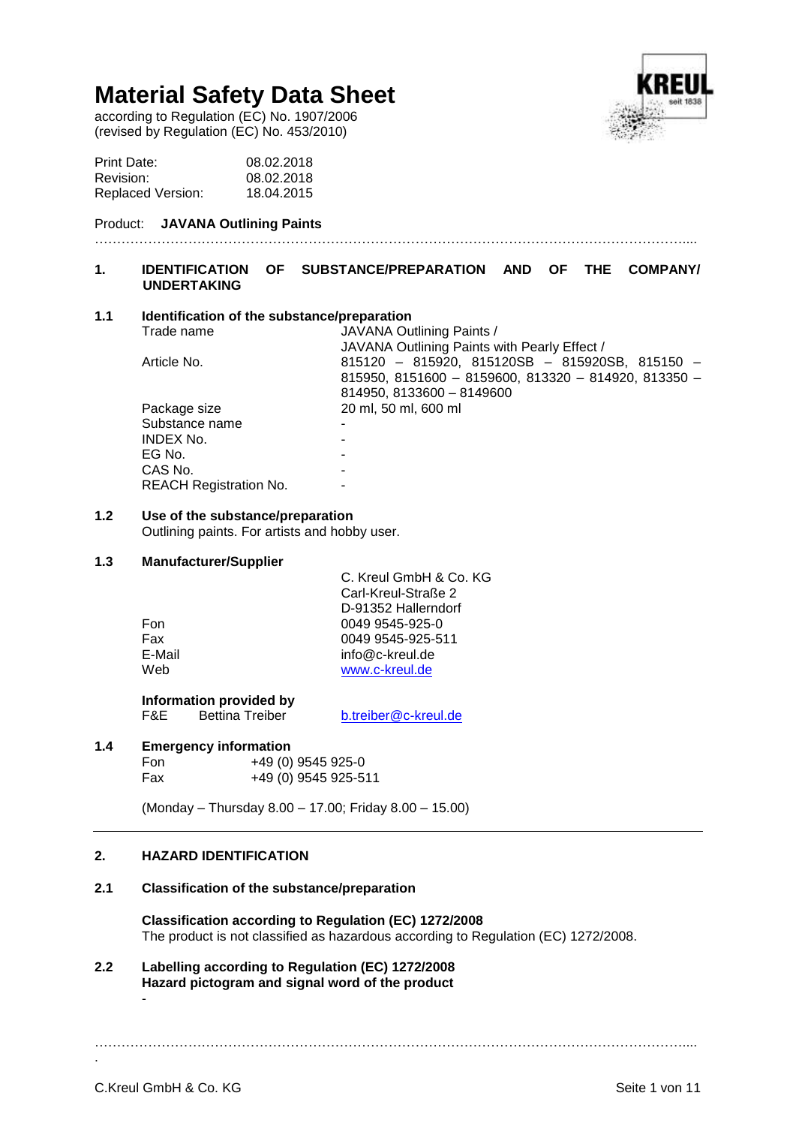according to Regulation (EC) No. 1907/2006 (revised by Regulation (EC) No. 453/2010)



| Print Date:              | 08.02.2018 |
|--------------------------|------------|
| Revision:                | 08.02.2018 |
| <b>Replaced Version:</b> | 18.04.2015 |

### Product: **JAVANA Outlining Paints**

## **1. IDENTIFICATION OF SUBSTANCE/PREPARATION AND OF THE COMPANY/ UNDERTAKING**

……………………………………………………………………………………………………………………....

## **1.1 Identification of the substance/preparation**

| Trade name                    | JAVANA Outlining Paints /                            |
|-------------------------------|------------------------------------------------------|
|                               | JAVANA Outlining Paints with Pearly Effect /         |
| Article No.                   | 815120 - 815920, 815120SB - 815920SB, 815150 -       |
|                               | 815950, 8151600 - 8159600, 813320 - 814920, 813350 - |
|                               | 814950, 8133600 - 8149600                            |
| Package size                  | 20 ml, 50 ml, 600 ml                                 |
| Substance name                |                                                      |
| <b>INDEX No.</b>              |                                                      |
| EG No.                        |                                                      |
| CAS No.                       |                                                      |
| <b>REACH Registration No.</b> |                                                      |
|                               |                                                      |

## **1.2 Use of the substance/preparation**

Outlining paints. For artists and hobby user.

## **1.3 Manufacturer/Supplier**

|        | C. Kreul GmbH & Co. KG<br>Carl-Kreul-Straße 2 |
|--------|-----------------------------------------------|
| Fon    | D-91352 Hallerndorf<br>0049 9545-925-0        |
| Fax    | 0049 9545-925-511                             |
| E-Mail | info@c-kreul.de                               |
| Web    | www.c-kreul.de                                |

**Information provided by**<br>F&E Bettina Treiber F&E Bettina Treiber [b.treiber@c-kreul.de](mailto:b.treiber@c-kreul.de)

## **1.4 Emergency information**

| Fon | +49 (0) 9545 925-0   |
|-----|----------------------|
| Fax | +49 (0) 9545 925-511 |

(Monday – Thursday 8.00 – 17.00; Friday 8.00 – 15.00)

## **2. HAZARD IDENTIFICATION**

### **2.1 Classification of the substance/preparation**

**Classification according to Regulation (EC) 1272/2008** The product is not classified as hazardous according to Regulation (EC) 1272/2008.

**2.2 Labelling according to Regulation (EC) 1272/2008 Hazard pictogram and signal word of the product** -

……………………………………………………………………………………………………………………....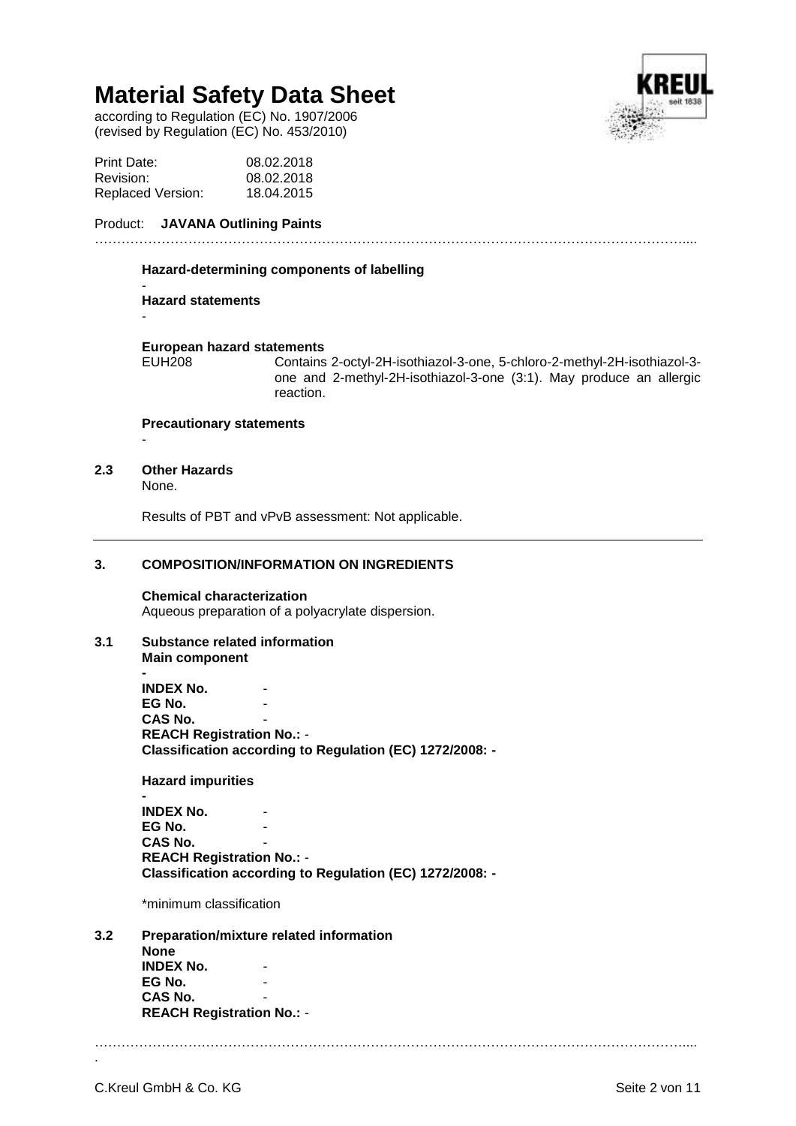according to Regulation (EC) No. 1907/2006 (revised by Regulation (EC) No. 453/2010)



## Product: **JAVANA Outlining Paints**

### ……………………………………………………………………………………………………………………....

#### **Hazard-determining components of labelling**

#### - **Hazard statements**

## **European hazard statements**

Contains 2-octyl-2H-isothiazol-3-one, 5-chloro-2-methyl-2H-isothiazol-3one and 2-methyl-2H-isothiazol-3-one (3:1). May produce an allergic reaction.

## **Precautionary statements**

-

-

## **2.3 Other Hazards**

None.

Results of PBT and vPvB assessment: Not applicable.

## **3. COMPOSITION/INFORMATION ON INGREDIENTS**

**Chemical characterization** Aqueous preparation of a polyacrylate dispersion.

### **3.1 Substance related information Main component**

**- INDEX No. EG No. CAS No. REACH Registration No.:** - **Classification according to Regulation (EC) 1272/2008: -**

**Hazard impurities**

**- INDEX No. EG No. CAS No. REACH Registration No.:** - **Classification according to Regulation (EC) 1272/2008: -**

\*minimum classification

### **3.2 Preparation/mixture related information None INDEX No. EG No. CAS No.**

**REACH Registration No.:** -

……………………………………………………………………………………………………………………....

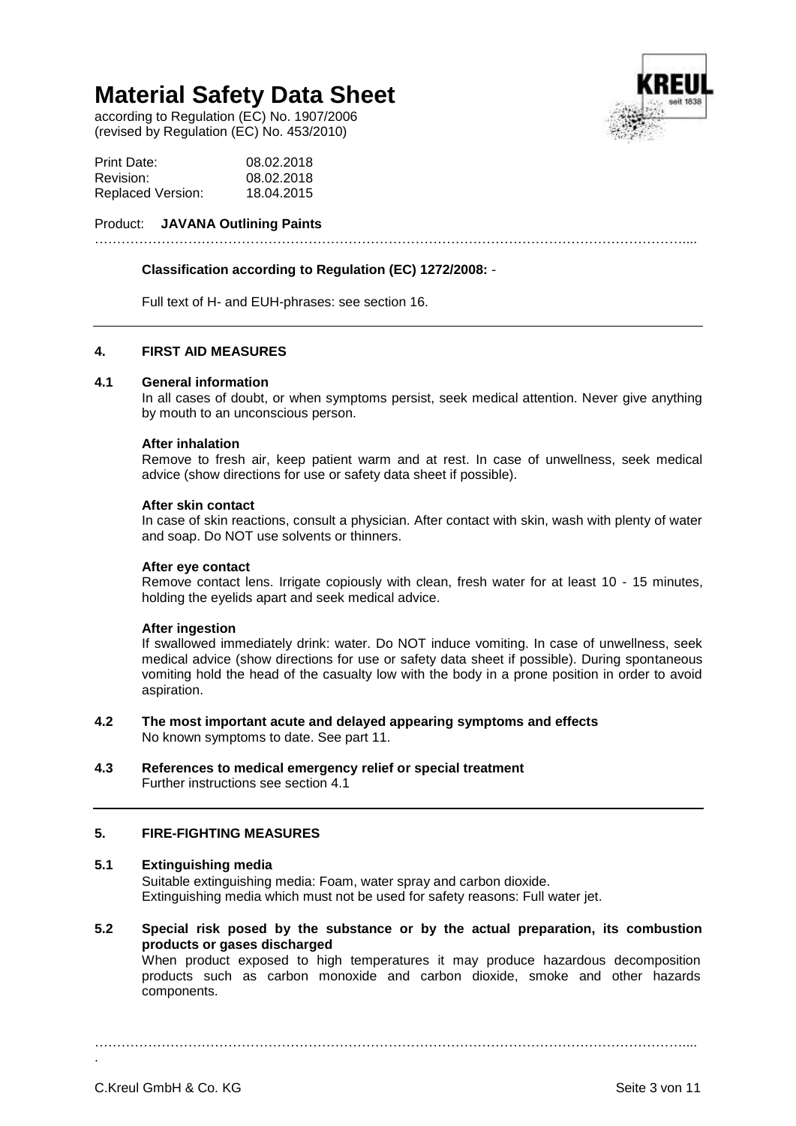according to Regulation (EC) No. 1907/2006 (revised by Regulation (EC) No. 453/2010)



## Product: **JAVANA Outlining Paints**

## **Classification according to Regulation (EC) 1272/2008:** -

Full text of H- and EUH-phrases: see section 16.

## **4. FIRST AID MEASURES**

### **4.1 General information**

In all cases of doubt, or when symptoms persist, seek medical attention. Never give anything by mouth to an unconscious person.

……………………………………………………………………………………………………………………....

### **After inhalation**

Remove to fresh air, keep patient warm and at rest. In case of unwellness, seek medical advice (show directions for use or safety data sheet if possible).

### **After skin contact**

In case of skin reactions, consult a physician. After contact with skin, wash with plenty of water and soap. Do NOT use solvents or thinners.

#### **After eye contact**

Remove contact lens. Irrigate copiously with clean, fresh water for at least 10 - 15 minutes, holding the eyelids apart and seek medical advice.

### **After ingestion**

If swallowed immediately drink: water. Do NOT induce vomiting. In case of unwellness, seek medical advice (show directions for use or safety data sheet if possible). During spontaneous vomiting hold the head of the casualty low with the body in a prone position in order to avoid aspiration.

- **4.2 The most important acute and delayed appearing symptoms and effects** No known symptoms to date. See part 11.
- **4.3 References to medical emergency relief or special treatment** Further instructions see section 4.1

### **5. FIRE-FIGHTING MEASURES**

## **5.1 Extinguishing media**

Suitable extinguishing media: Foam, water spray and carbon dioxide. Extinguishing media which must not be used for safety reasons: Full water jet.

**5.2 Special risk posed by the substance or by the actual preparation, its combustion products or gases discharged**

When product exposed to high temperatures it may produce hazardous decomposition products such as carbon monoxide and carbon dioxide, smoke and other hazards components.

……………………………………………………………………………………………………………………....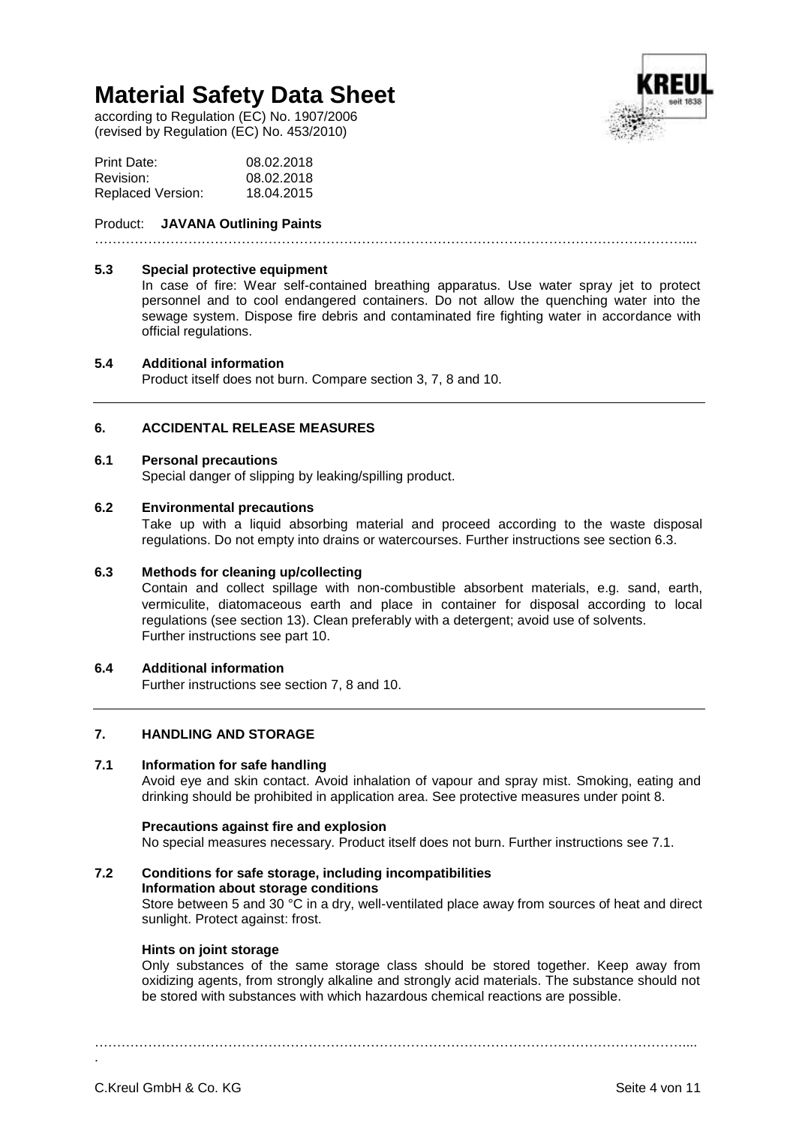according to Regulation (EC) No. 1907/2006 (revised by Regulation (EC) No. 453/2010)

| Print Date:              | 08.02.2018 |
|--------------------------|------------|
| Revision:                | 08.02.2018 |
| <b>Replaced Version:</b> | 18.04.2015 |

## Product: **JAVANA Outlining Paints**

……………………………………………………………………………………………………………………....

### **5.3 Special protective equipment**

In case of fire: Wear self-contained breathing apparatus. Use water spray jet to protect personnel and to cool endangered containers. Do not allow the quenching water into the sewage system. Dispose fire debris and contaminated fire fighting water in accordance with official regulations.

### **5.4 Additional information**

Product itself does not burn. Compare section 3, 7, 8 and 10.

## **6. ACCIDENTAL RELEASE MEASURES**

#### **6.1 Personal precautions**

Special danger of slipping by leaking/spilling product.

### **6.2 Environmental precautions**

Take up with a liquid absorbing material and proceed according to the waste disposal regulations. Do not empty into drains or watercourses. Further instructions see section 6.3.

### **6.3 Methods for cleaning up/collecting**

Contain and collect spillage with non-combustible absorbent materials, e.g. sand, earth, vermiculite, diatomaceous earth and place in container for disposal according to local regulations (see section 13). Clean preferably with a detergent; avoid use of solvents. Further instructions see part 10.

### **6.4 Additional information**

Further instructions see section 7, 8 and 10.

## **7. HANDLING AND STORAGE**

## **7.1 Information for safe handling**

Avoid eye and skin contact. Avoid inhalation of vapour and spray mist. Smoking, eating and drinking should be prohibited in application area. See protective measures under point 8.

### **Precautions against fire and explosion**

No special measures necessary. Product itself does not burn. Further instructions see 7.1.

## **7.2 Conditions for safe storage, including incompatibilities Information about storage conditions** Store between 5 and 30 °C in a dry, well-ventilated place away from sources of heat and direct sunlight. Protect against: frost.

## **Hints on joint storage**

Only substances of the same storage class should be stored together. Keep away from oxidizing agents, from strongly alkaline and strongly acid materials. The substance should not be stored with substances with which hazardous chemical reactions are possible.

……………………………………………………………………………………………………………………....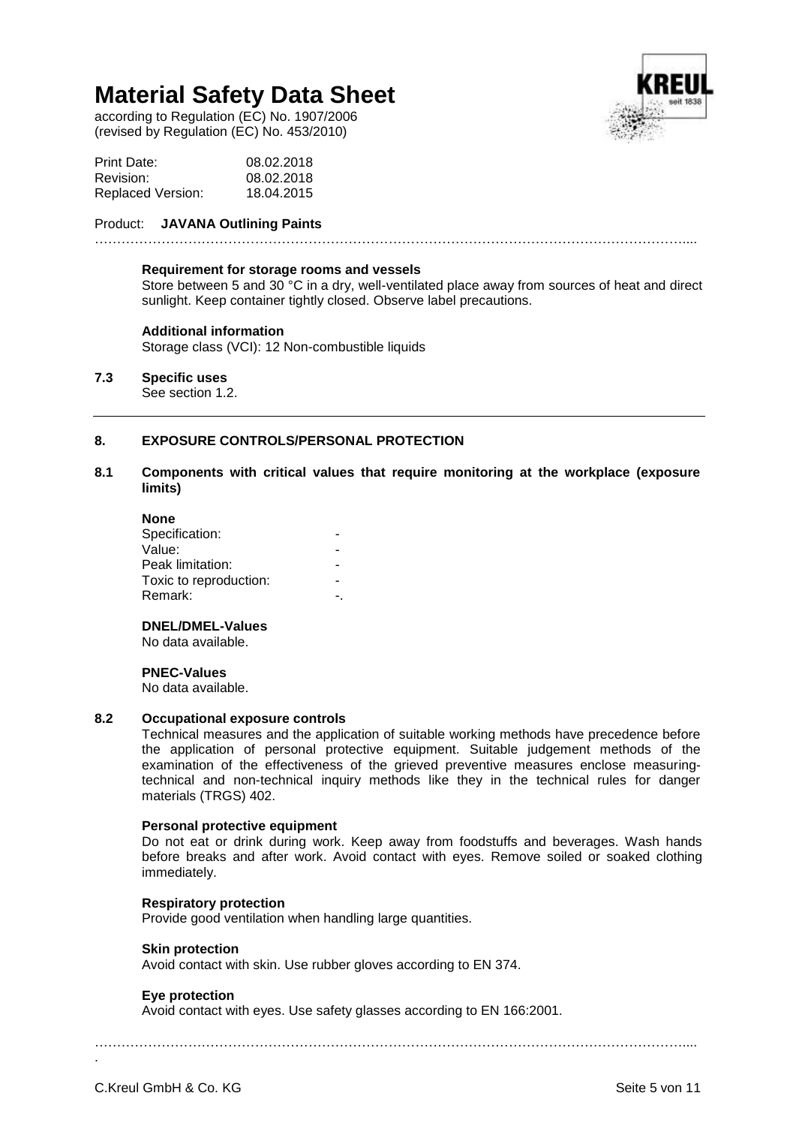according to Regulation (EC) No. 1907/2006 (revised by Regulation (EC) No. 453/2010)

| Print Date:       | 08.02.2018 |
|-------------------|------------|
| Revision:         | 08.02.2018 |
| Replaced Version: | 18.04.2015 |

## Product: **JAVANA Outlining Paints**

……………………………………………………………………………………………………………………....

#### **Requirement for storage rooms and vessels**

Store between 5 and 30 °C in a dry, well-ventilated place away from sources of heat and direct sunlight. Keep container tightly closed. Observe label precautions.

## **Additional information**

Storage class (VCI): 12 Non-combustible liquids

## **7.3 Specific uses**

See section 1.2.

## **8. EXPOSURE CONTROLS/PERSONAL PROTECTION**

## **8.1 Components with critical values that require monitoring at the workplace (exposure limits)**

| <b>None</b>            |  |
|------------------------|--|
| Specification:         |  |
| Value:                 |  |
| Peak limitation:       |  |
| Toxic to reproduction: |  |
| Remark:                |  |
|                        |  |

## **DNEL/DMEL-Values**

No data available.

### **PNEC-Values**

No data available.

### **8.2 Occupational exposure controls**

Technical measures and the application of suitable working methods have precedence before the application of personal protective equipment. Suitable judgement methods of the examination of the effectiveness of the grieved preventive measures enclose measuringtechnical and non-technical inquiry methods like they in the technical rules for danger materials (TRGS) 402.

## **Personal protective equipment**

Do not eat or drink during work. Keep away from foodstuffs and beverages. Wash hands before breaks and after work. Avoid contact with eyes. Remove soiled or soaked clothing immediately.

### **Respiratory protection**

Provide good ventilation when handling large quantities.

### **Skin protection**

Avoid contact with skin. Use rubber gloves according to EN 374.

## **Eye protection**

Avoid contact with eyes. Use safety glasses according to EN 166:2001.

……………………………………………………………………………………………………………………....

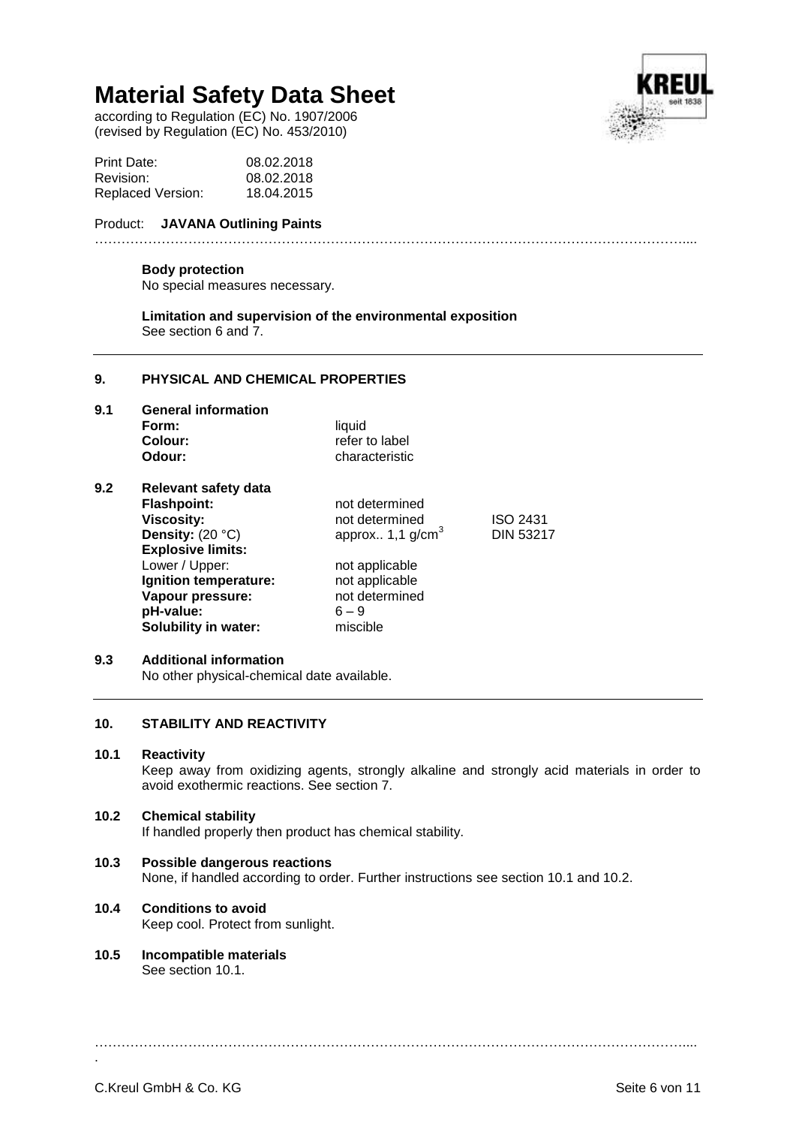according to Regulation (EC) No. 1907/2006 (revised by Regulation (EC) No. 453/2010)



| Print Date:       | 08.02.2018 |
|-------------------|------------|
| Revision:         | 08.02.2018 |
| Replaced Version: | 18.04.2015 |

## Product: **JAVANA Outlining Paints**

## ……………………………………………………………………………………………………………………....

## **Body protection**

No special measures necessary.

**Limitation and supervision of the environmental exposition** See section 6 and 7.

#### **9. PHYSICAL AND CHEMICAL PROPERTIES**

**9.1 General information Form:** liquid<br> **Colour:** liquid refer to label **Odour:** characteristic

| <b>Relevant safety data</b> |                                |                  |
|-----------------------------|--------------------------------|------------------|
| <b>Flashpoint:</b>          | not determined                 |                  |
| <b>Viscosity:</b>           | not determined                 | ISO 2431         |
| Density: $(20 °C)$          | approx $1,1$ g/cm <sup>3</sup> | <b>DIN 53217</b> |
| <b>Explosive limits:</b>    |                                |                  |
| Lower / Upper:              | not applicable                 |                  |
| Ignition temperature:       | not applicable                 |                  |
|                             | not determined                 |                  |
| pH-value:                   | $6 - 9$                        |                  |
| <b>Solubility in water:</b> | miscible                       |                  |
|                             |                                |                  |
|                             | Vapour pressure:               |                  |

### **9.3 Additional information**

No other physical-chemical date available.

## **10. STABILITY AND REACTIVITY**

#### **10.1 Reactivity**

Keep away from oxidizing agents, strongly alkaline and strongly acid materials in order to avoid exothermic reactions. See section 7.

## **10.2 Chemical stability**

If handled properly then product has chemical stability.

## **10.3 Possible dangerous reactions**

None, if handled according to order. Further instructions see section 10.1 and 10.2.

## **10.4 Conditions to avoid**

Keep cool. Protect from sunlight.

**10.5 Incompatible materials** See section 10.1.

……………………………………………………………………………………………………………………....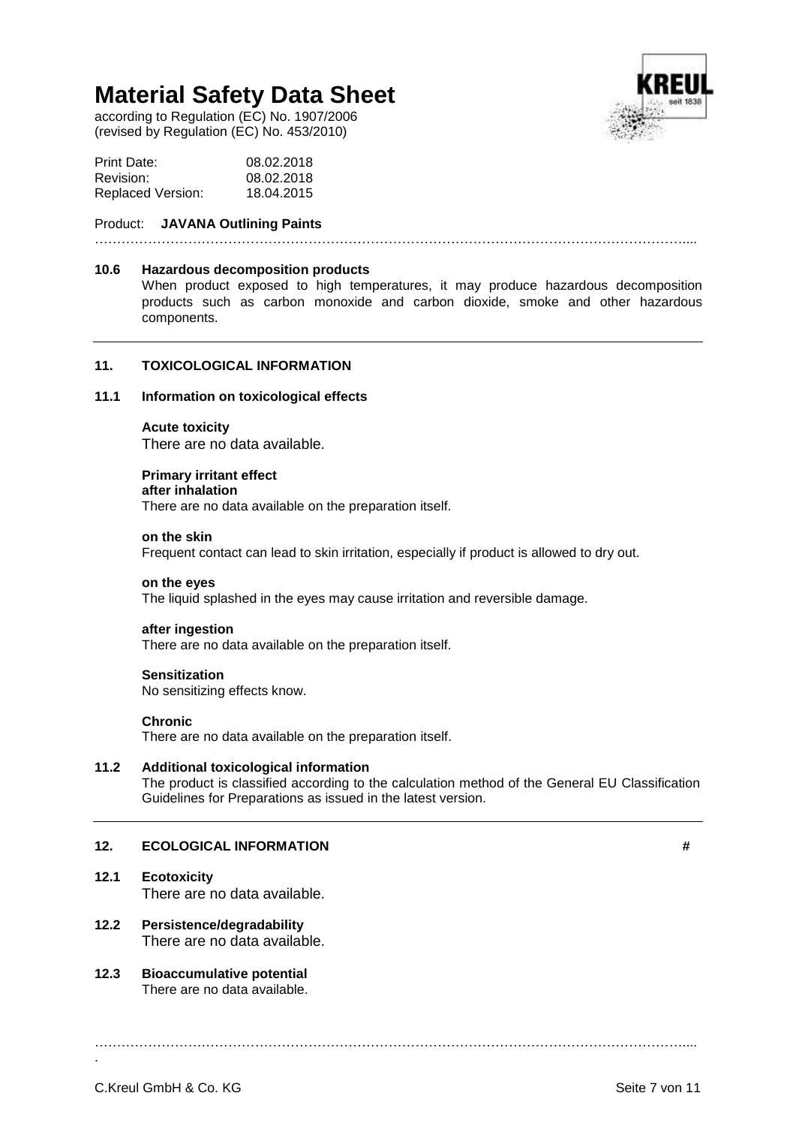according to Regulation (EC) No. 1907/2006 (revised by Regulation (EC) No. 453/2010)

| Print Date:       | 08.02.2018 |
|-------------------|------------|
| Revision:         | 08.02.2018 |
| Replaced Version: | 18.04.2015 |

## Product: **JAVANA Outlining Paints**

……………………………………………………………………………………………………………………....

#### **10.6 Hazardous decomposition products**

When product exposed to high temperatures, it may produce hazardous decomposition products such as carbon monoxide and carbon dioxide, smoke and other hazardous components.

### **11. TOXICOLOGICAL INFORMATION**

## **11.1 Information on toxicological effects**

#### **Acute toxicity**

There are no data available.

#### **Primary irritant effect**

## **after inhalation**

There are no data available on the preparation itself.

#### **on the skin**

Frequent contact can lead to skin irritation, especially if product is allowed to dry out.

#### **on the eyes**

The liquid splashed in the eyes may cause irritation and reversible damage.

#### **after ingestion**

There are no data available on the preparation itself.

#### **Sensitization**

No sensitizing effects know.

#### **Chronic**

There are no data available on the preparation itself.

## **11.2 Additional toxicological information**

The product is classified according to the calculation method of the General EU Classification Guidelines for Preparations as issued in the latest version.

……………………………………………………………………………………………………………………....

## **12. ECOLOGICAL INFORMATION #**

## **12.1 Ecotoxicity**

There are no data available.

## **12.2 Persistence/degradability** There are no data available.

## **12.3 Bioaccumulative potential** There are no data available.

C.Kreul GmbH & Co. KG Seite 7 von 11

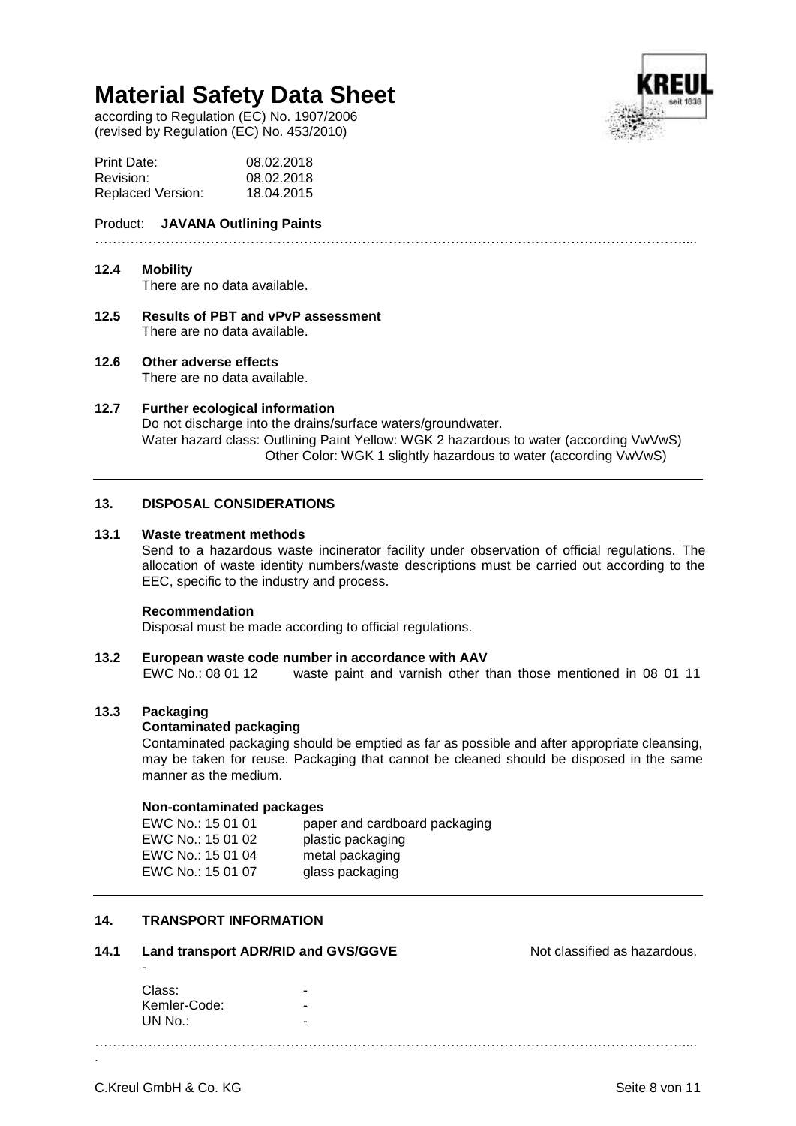according to Regulation (EC) No. 1907/2006 (revised by Regulation (EC) No. 453/2010)



| Print Date:              | 08.02.2018 |
|--------------------------|------------|
| Revision:                | 08.02.2018 |
| <b>Replaced Version:</b> | 18.04.2015 |

## Product: **JAVANA Outlining Paints**

## ……………………………………………………………………………………………………………………....

## **12.4 Mobility**

There are no data available.

- **12.5 Results of PBT and vPvP assessment** There are no data available.
- **12.6 Other adverse effects**

There are no data available.

**12.7 Further ecological information** Do not discharge into the drains/surface waters/groundwater. Water hazard class: Outlining Paint Yellow: WGK 2 hazardous to water (according VwVwS) Other Color: WGK 1 slightly hazardous to water (according VwVwS)

## **13. DISPOSAL CONSIDERATIONS**

## **13.1 Waste treatment methods**

Send to a hazardous waste incinerator facility under observation of official regulations. The allocation of waste identity numbers/waste descriptions must be carried out according to the EEC, specific to the industry and process.

### **Recommendation**

Disposal must be made according to official regulations.

### **13.2 European waste code number in accordance with AAV**

EWC No.: 08 01 12 waste paint and varnish other than those mentioned in 08 01 11

## **13.3 Packaging**

### **Contaminated packaging**

Contaminated packaging should be emptied as far as possible and after appropriate cleansing, may be taken for reuse. Packaging that cannot be cleaned should be disposed in the same manner as the medium.

### **Non-contaminated packages**

| EWC No.: 15 01 01 | paper and cardboard packaging |
|-------------------|-------------------------------|
| EWC No.: 15 01 02 | plastic packaging             |
| EWC No.: 15 01 04 | metal packaging               |
| EWC No.: 15 01 07 | glass packaging               |

## **14. TRANSPORT INFORMATION**

### **14.1 Land transport ADR/RID and GVS/GGVE Note as hazardous.** Not classified as hazardous.

Class: Kemler-Code:  $UN No.$ :

……………………………………………………………………………………………………………………....

-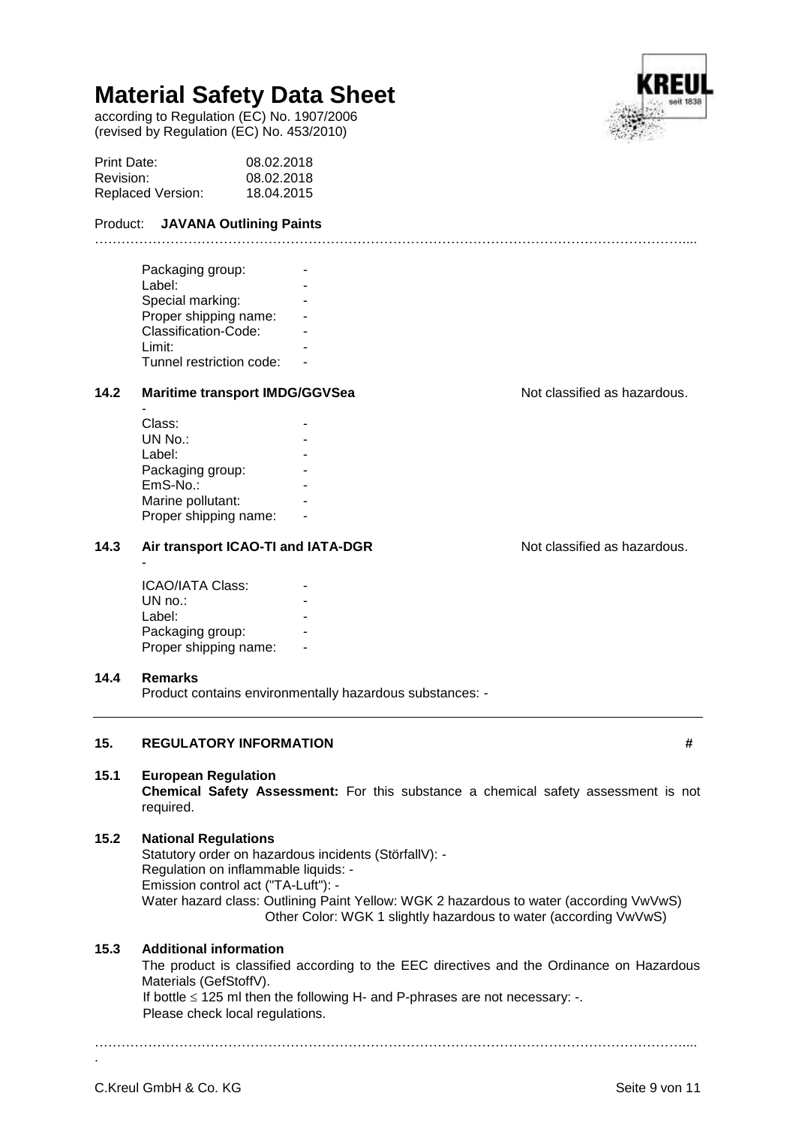according to Regulation (EC) No. 1907/2006 (revised by Regulation (EC) No. 453/2010)

| Print Date:              | 08.02.2018 |
|--------------------------|------------|
| Revision:                | 08.02.2018 |
| <b>Replaced Version:</b> | 18.04.2015 |

## Product: **JAVANA Outlining Paints**

| Packaging group:<br>Label: |  |
|----------------------------|--|
|                            |  |
| Special marking:           |  |
| Proper shipping name:      |  |
| Classification-Code:       |  |
| Limit:                     |  |
| Tunnel restriction code:   |  |
|                            |  |

## 14.2 **Maritime transport IMDG/GGVSea** Not classified as hazardous.

| Class:                |  |
|-----------------------|--|
| UN No.:               |  |
| Label:                |  |
| Packaging group:      |  |
| $EmS-No.$ :           |  |
| Marine pollutant:     |  |
| Proper shipping name: |  |
|                       |  |

## 14.3 Air transport ICAO-TI and IATA-DGR Not classified as hazardous.

**ICAO/IATA Class:**  $UN no.$ : Label: Packaging group: Proper shipping name:

### **14.4 Remarks**

-

-

Product contains environmentally hazardous substances: -

## **15. REGULATORY INFORMATION #**

## **15.1 European Regulation**

**Chemical Safety Assessment:** For this substance a chemical safety assessment is not required.

……………………………………………………………………………………………………………………....

## **15.2 National Regulations**

Statutory order on hazardous incidents (StörfallV): - Regulation on inflammable liquids: - Emission control act ("TA-Luft"): - Water hazard class: Outlining Paint Yellow: WGK 2 hazardous to water (according VwVwS) Other Color: WGK 1 slightly hazardous to water (according VwVwS)

## **15.3 Additional information**

The product is classified according to the EEC directives and the Ordinance on Hazardous Materials (GefStoffV).

If bottle  $\leq$  125 ml then the following H- and P-phrases are not necessary: -. Please check local regulations.

……………………………………………………………………………………………………………………....





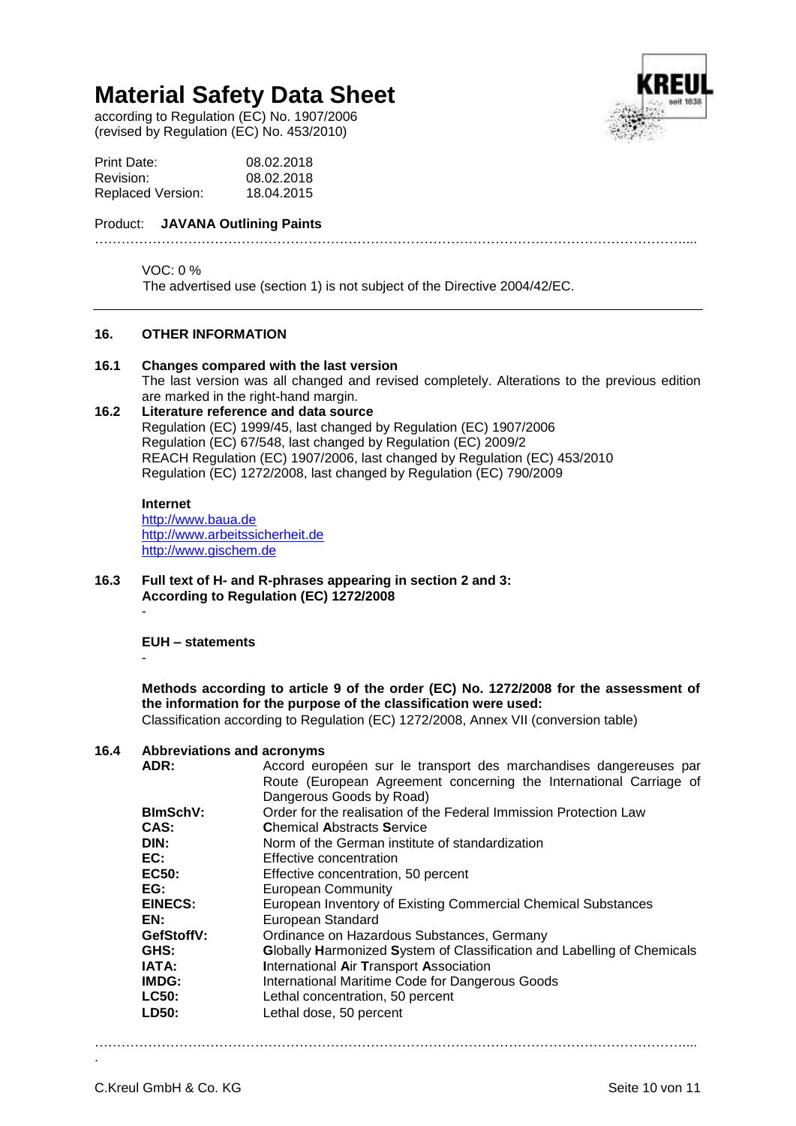according to Regulation (EC) No. 1907/2006 (revised by Regulation (EC) No. 453/2010)

| Print Date:              | 08.02.2018 |
|--------------------------|------------|
| Revision:                | 08.02.2018 |
| <b>Replaced Version:</b> | 18.04.2015 |

## Product: **JAVANA Outlining Paints**

### VOC: 0 %

The advertised use (section 1) is not subject of the Directive 2004/42/EC.

### **16. OTHER INFORMATION**

### **16.1 Changes compared with the last version**

The last version was all changed and revised completely. Alterations to the previous edition are marked in the right-hand margin.

……………………………………………………………………………………………………………………....

## **16.2 Literature reference and data source**

Regulation (EC) 1999/45, last changed by Regulation (EC) 1907/2006 Regulation (EC) 67/548, last changed by Regulation (EC) 2009/2 REACH Regulation (EC) 1907/2006, last changed by Regulation (EC) 453/2010 Regulation (EC) 1272/2008, last changed by Regulation (EC) 790/2009

## **Internet**

[http://www.baua.de](http://www.baua.de/) [http://www.arbeitssicherheit.de](http://www.arbeitssicherheit.de/) [http://www.gischem.de](http://www.gischem.de/)

**16.3 Full text of H- and R-phrases appearing in section 2 and 3: According to Regulation (EC) 1272/2008**

**EUH – statements**

-

-

## **Methods according to article 9 of the order (EC) No. 1272/2008 for the assessment of the information for the purpose of the classification were used:**

Classification according to Regulation (EC) 1272/2008, Annex VII (conversion table)

## **16.4 Abbreviations and acronyms**

| ADR:            | Accord européen sur le transport des marchandises dangereuses par       |
|-----------------|-------------------------------------------------------------------------|
|                 | Route (European Agreement concerning the International Carriage of      |
|                 | Dangerous Goods by Road)                                                |
| <b>BImSchV:</b> | Order for the realisation of the Federal Immission Protection Law       |
| CAS:            | <b>Chemical Abstracts Service</b>                                       |
| DIN:            | Norm of the German institute of standardization                         |
| EC:             | Effective concentration                                                 |
| <b>EC50:</b>    | Effective concentration, 50 percent                                     |
| EG:             | <b>European Community</b>                                               |
| <b>EINECS:</b>  | European Inventory of Existing Commercial Chemical Substances           |
| EN:             | European Standard                                                       |
| GefStoffV:      | Ordinance on Hazardous Substances, Germany                              |
| GHS:            | Globally Harmonized System of Classification and Labelling of Chemicals |
| IATA:           | International Air Transport Association                                 |
| IMDG:           | International Maritime Code for Dangerous Goods                         |
| <b>LC50:</b>    | Lethal concentration, 50 percent                                        |
| LD50:           | Lethal dose, 50 percent                                                 |
|                 |                                                                         |

……………………………………………………………………………………………………………………....